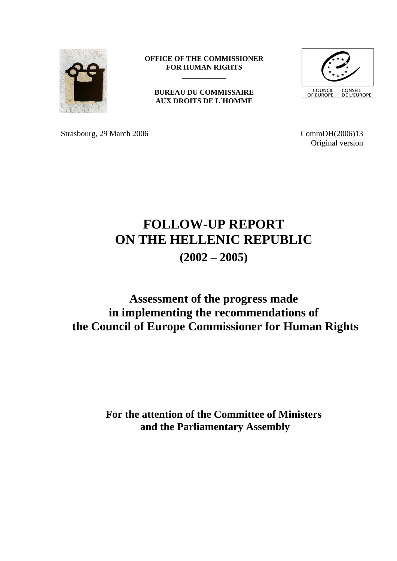

**OFFICE OF THE COMMISSIONER FOR HUMAN RIGHTS \_\_\_\_\_\_\_\_\_\_\_\_**

**BUREAU DU COMMISSAIRE AUX DROITS DE L´HOMME**



Strasbourg, 29 March 2006 CommDH(2006)13

Original version

# **FOLLOW-UP REPORT ON THE HELLENIC REPUBLIC (2002 – 2005)**

# **Assessment of the progress made in implementing the recommendations of the Council of Europe Commissioner for Human Rights**

**For the attention of the Committee of Ministers and the Parliamentary Assembly**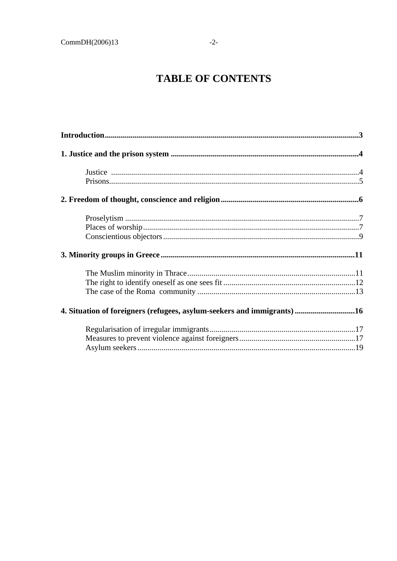# **TABLE OF CONTENTS**

| 4. Situation of foreigners (refugees, asylum-seekers and immigrants) 16 |  |
|-------------------------------------------------------------------------|--|
|                                                                         |  |
|                                                                         |  |
|                                                                         |  |
|                                                                         |  |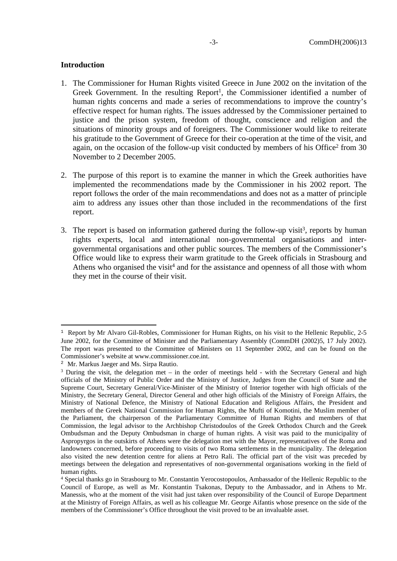# <span id="page-2-0"></span>**Introduction**

- 1. The Commissioner for Human Rights visited Greece in June 2002 on the invitation of the Greek Government. In the resulting  $Report<sup>1</sup>$ , the Commissioner identified a number of human rights concerns and made a series of recommendations to improve the country's effective respect for human rights. The issues addressed by the Commissioner pertained to justice and the prison system, freedom of thought, conscience and religion and the situations of minority groups and of foreigners. The Commissioner would like to reiterate his gratitude to the Government of Greece for their co-operation at the time of the visit, and again, on the occasion of the follow-up visit conducted by members of his Office<sup>2</sup> from 30 November to 2 December 2005.
- 2. The purpose of this report is to examine the manner in which the Greek authorities have implemented the recommendations made by the Commissioner in his 2002 report. The report follows the order of the main recommendations and does not as a matter of principle aim to address any issues other than those included in the recommendations of the first report.
- 3. The report is based on information gathered during the follow-up visit<sup>3</sup>, reports by human rights experts, local and international non-governmental organisations and intergovernmental organisations and other public sources. The members of the Commissioner's Office would like to express their warm gratitude to the Greek officials in Strasbourg and Athens who organised the visit<sup>4</sup> and for the assistance and openness of all those with whom they met in the course of their visit.

<sup>&</sup>lt;sup>1</sup> Report by Mr Alvaro Gil-Robles, Commissioner for Human Rights, on his visit to the Hellenic Republic, 2-5 June 2002, for the Committee of Minister and the Parliamentary Assembly (CommDH (2002)5, 17 July 2002). The report was presented to the Committee of Ministers on 11 September 2002, and can be found on the Commissioner's website at www.commissioner.coe.int.

<sup>2</sup> Mr. Markus Jaeger and Ms. Sirpa Rautio.

<sup>&</sup>lt;sup>3</sup> During the visit, the delegation met – in the order of meetings held - with the Secretary General and high officials of the Ministry of Public Order and the Ministry of Justice, Judges from the Council of State and the Supreme Court, Secretary General/Vice-Minister of the Ministry of Interior together with high officials of the Ministry, the Secretary General, Director General and other high officials of the Ministry of Foreign Affairs, the Ministry of National Defence, the Ministry of National Education and Religious Affairs, the President and members of the Greek National Commission for Human Rights, the Mufti of Komotini, the Muslim member of the Parliament, the chairperson of the Parliamentary Committee of Human Rights and members of that Commission, the legal advisor to the Archbishop Christodoulos of the Greek Orthodox Church and the Greek Ombudsman and the Deputy Ombudsman in charge of human rights. A visit was paid to the municipality of Aspropyrgos in the outskirts of Athens were the delegation met with the Mayor, representatives of the Roma and landowners concerned, before proceeding to visits of two Roma settlements in the municipality. The delegation also visited the new detention centre for aliens at Petro Rali. The official part of the visit was preceded by meetings between the delegation and representatives of non-governmental organisations working in the field of human rights.

<sup>4</sup> Special thanks go in Strasbourg to Mr. Constantin Yerocostopoulos, Ambassador of the Hellenic Republic to the Council of Europe, as well as Mr. Konstantin Tsakonas, Deputy to the Ambassador, and in Athens to Mr. Manessis, who at the moment of the visit had just taken over responsibility of the Council of Europe Department at the Ministry of Foreign Affairs, as well as his colleague Mr. George Aifantis whose presence on the side of the members of the Commissioner's Office throughout the visit proved to be an invaluable asset.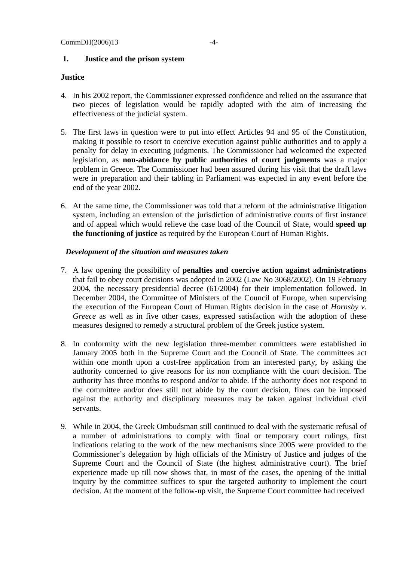#### <span id="page-3-0"></span>**1. Justice and the prison system**

# **Justice**

- 4. In his 2002 report, the Commissioner expressed confidence and relied on the assurance that two pieces of legislation would be rapidly adopted with the aim of increasing the effectiveness of the judicial system.
- 5. The first laws in question were to put into effect Articles 94 and 95 of the Constitution, making it possible to resort to coercive execution against public authorities and to apply a penalty for delay in executing judgments. The Commissioner had welcomed the expected legislation, as **non-abidance by public authorities of court judgments** was a major problem in Greece. The Commissioner had been assured during his visit that the draft laws were in preparation and their tabling in Parliament was expected in any event before the end of the year 2002.
- 6. At the same time, the Commissioner was told that a reform of the administrative litigation system, including an extension of the jurisdiction of administrative courts of first instance and of appeal which would relieve the case load of the Council of State, would **speed up the functioning of justice** as required by the European Court of Human Rights.

- 7. A law opening the possibility of **penalties and coercive action against administrations** that fail to obey court decisions was adopted in 2002 (Law No 3068/2002). On 19 February 2004, the necessary presidential decree (61/2004) for their implementation followed. In December 2004, the Committee of Ministers of the Council of Europe, when supervising the execution of the European Court of Human Rights decision in the case of *Hornsby v. Greece* as well as in five other cases, expressed satisfaction with the adoption of these measures designed to remedy a structural problem of the Greek justice system.
- 8. In conformity with the new legislation three-member committees were established in January 2005 both in the Supreme Court and the Council of State. The committees act within one month upon a cost-free application from an interested party, by asking the authority concerned to give reasons for its non compliance with the court decision. The authority has three months to respond and/or to abide. If the authority does not respond to the committee and/or does still not abide by the court decision, fines can be imposed against the authority and disciplinary measures may be taken against individual civil servants.
- 9. While in 2004, the Greek Ombudsman still continued to deal with the systematic refusal of a number of administrations to comply with final or temporary court rulings, first indications relating to the work of the new mechanisms since 2005 were provided to the Commissioner's delegation by high officials of the Ministry of Justice and judges of the Supreme Court and the Council of State (the highest administrative court). The brief experience made up till now shows that, in most of the cases, the opening of the initial inquiry by the committee suffices to spur the targeted authority to implement the court decision. At the moment of the follow-up visit, the Supreme Court committee had received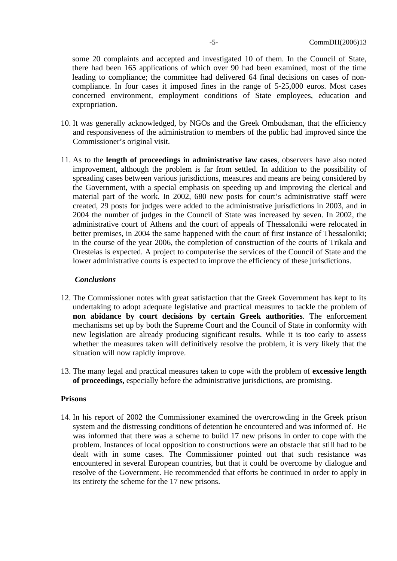some 20 complaints and accepted and investigated 10 of them. In the Council of State, there had been 165 applications of which over 90 had been examined, most of the time leading to compliance; the committee had delivered 64 final decisions on cases of noncompliance. In four cases it imposed fines in the range of 5-25,000 euros. Most cases concerned environment, employment conditions of State employees, education and expropriation.

- 10. It was generally acknowledged, by NGOs and the Greek Ombudsman, that the efficiency and responsiveness of the administration to members of the public had improved since the Commissioner's original visit.
- 11. As to the **length of proceedings in administrative law cases**, observers have also noted improvement, although the problem is far from settled. In addition to the possibility of spreading cases between various jurisdictions, measures and means are being considered by the Government, with a special emphasis on speeding up and improving the clerical and material part of the work. In 2002, 680 new posts for court's administrative staff were created, 29 posts for judges were added to the administrative jurisdictions in 2003, and in 2004 the number of judges in the Council of State was increased by seven. In 2002, the administrative court of Athens and the court of appeals of Thessaloniki were relocated in better premises, in 2004 the same happened with the court of first instance of Thessaloniki; in the course of the year 2006, the completion of construction of the courts of Trikala and Oresteias is expected. A project to computerise the services of the Council of State and the lower administrative courts is expected to improve the efficiency of these jurisdictions.

# *Conclusions*

- 12. The Commissioner notes with great satisfaction that the Greek Government has kept to its undertaking to adopt adequate legislative and practical measures to tackle the problem of **non abidance by court decisions by certain Greek authorities**. The enforcement mechanisms set up by both the Supreme Court and the Council of State in conformity with new legislation are already producing significant results. While it is too early to assess whether the measures taken will definitively resolve the problem, it is very likely that the situation will now rapidly improve.
- 13. The many legal and practical measures taken to cope with the problem of **excessive length of proceedings,** especially before the administrative jurisdictions, are promising.

#### **Prisons**

14. In his report of 2002 the Commissioner examined the overcrowding in the Greek prison system and the distressing conditions of detention he encountered and was informed of. He was informed that there was a scheme to build 17 new prisons in order to cope with the problem. Instances of local opposition to constructions were an obstacle that still had to be dealt with in some cases. The Commissioner pointed out that such resistance was encountered in several European countries, but that it could be overcome by dialogue and resolve of the Government. He recommended that efforts be continued in order to apply in its entirety the scheme for the 17 new prisons.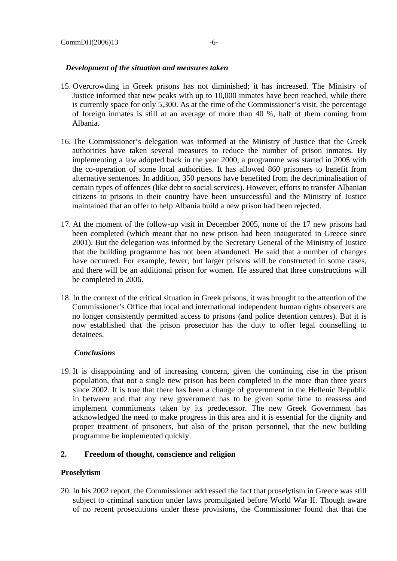- 15. Overcrowding in Greek prisons has not diminished; it has increased. The Ministry of Justice informed that new peaks with up to 10,000 inmates have been reached, while there is currently space for only 5,300. As at the time of the Commissioner's visit, the percentage of foreign inmates is still at an average of more than 40 %, half of them coming from Albania.
- 16. The Commissioner's delegation was informed at the Ministry of Justice that the Greek authorities have taken several measures to reduce the number of prison inmates. By implementing a law adopted back in the year 2000, a programme was started in 2005 with the co-operation of some local authorities. It has allowed 860 prisoners to benefit from alternative sentences. In addition, 350 persons have benefited from the decriminalisation of certain types of offences (like debt to social services). However, efforts to transfer Albanian citizens to prisons in their country have been unsuccessful and the Ministry of Justice maintained that an offer to help Albania build a new prison had been rejected.
- 17. At the moment of the follow-up visit in December 2005, none of the 17 new prisons had been completed (which meant that no new prison had been inaugurated in Greece since 2001). But the delegation was informed by the Secretary General of the Ministry of Justice that the building programme has not been abandoned. He said that a number of changes have occurred. For example, fewer, but larger prisons will be constructed in some cases, and there will be an additional prison for women. He assured that three constructions will be completed in 2006.
- 18. In the context of the critical situation in Greek prisons, it was brought to the attention of the Commissioner's Office that local and international independent human rights observers are no longer consistently permitted access to prisons (and police detention centres). But it is now established that the prison prosecutor has the duty to offer legal counselling to detainees.

# *Conclusions*

19. It is disappointing and of increasing concern, given the continuing rise in the prison population, that not a single new prison has been completed in the more than three years since 2002. It is true that there has been a change of government in the Hellenic Republic in between and that any new government has to be given some time to reassess and implement commitments taken by its predecessor. The new Greek Government has acknowledged the need to make progress in this area and it is essential for the dignity and proper treatment of prisoners, but also of the prison personnel, that the new building programme be implemented quickly.

# <span id="page-5-0"></span>**2. Freedom of thought, conscience and religion**

#### **Proselytism**

20. In his 2002 report, the Commissioner addressed the fact that proselytism in Greece was still subject to criminal sanction under laws promulgated before World War II. Though aware of no recent prosecutions under these provisions, the Commissioner found that that the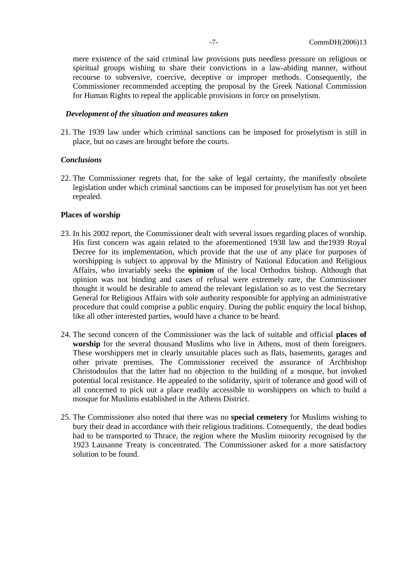mere existence of the said criminal law provisions puts needless pressure on religious or spiritual groups wishing to share their convictions in a law-abiding manner, without recourse to subversive, coercive, deceptive or improper methods. Consequently, the Commissioner recommended accepting the proposal by the Greek National Commission for Human Rights to repeal the applicable provisions in force on proselytism.

#### *Development of the situation and measures taken*

21. The 1939 law under which criminal sanctions can be imposed for proselytism is still in place, but no cases are brought before the courts.

#### *Conclusions*

22. The Commissioner regrets that, for the sake of legal certainty, the manifestly obsolete legislation under which criminal sanctions can be imposed for proselytism has not yet been repealed.

#### **Places of worship**

- 23. In his 2002 report, the Commissioner dealt with several issues regarding places of worship. His first concern was again related to the aforementioned 1938 law and the1939 Royal Decree for its implementation, which provide that the use of any place for purposes of worshipping is subject to approval by the Ministry of National Education and Religious Affairs, who invariably seeks the **opinion** of the local Orthodox bishop. Although that opinion was not binding and cases of refusal were extremely rare, the Commissioner thought it would be desirable to amend the relevant legislation so as to vest the Secretary General for Religious Affairs with sole authority responsible for applying an administrative procedure that could comprise a public enquiry. During the public enquiry the local bishop, like all other interested parties, would have a chance to be heard.
- 24. The second concern of the Commissioner was the lack of suitable and official **places of worship** for the several thousand Muslims who live in Athens, most of them foreigners. These worshippers met in clearly unsuitable places such as flats, basements, garages and other private premises. The Commissioner received the assurance of Archbishop Christodoulos that the latter had no objection to the building of a mosque, but invoked potential local resistance. He appealed to the solidarity, spirit of tolerance and good will of all concerned to pick out a place readily accessible to worshippers on which to build a mosque for Muslims established in the Athens District.
- 25. The Commissioner also noted that there was no **special cemetery** for Muslims wishing to bury their dead in accordance with their religious traditions. Consequently, the dead bodies had to be transported to Thrace, the region where the Muslim minority recognised by the 1923 Lausanne Treaty is concentrated. The Commissioner asked for a more satisfactory solution to be found.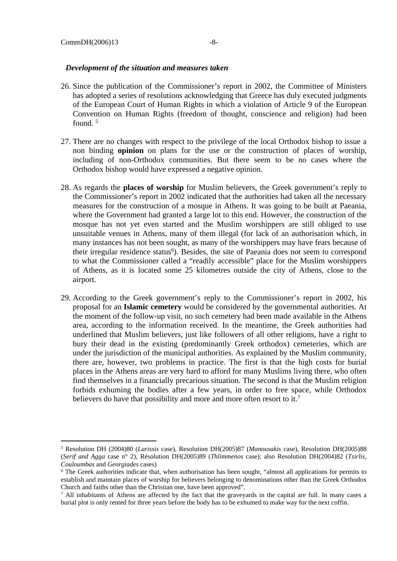- 26. Since the publication of the Commissioner's report in 2002, the Committee of Ministers has adopted a series of resolutions acknowledging that Greece has duly executed judgments of the European Court of Human Rights in which a violation of Article 9 of the European Convention on Human Rights (freedom of thought, conscience and religion) had been found. <sup>5</sup>
- 27. There are no changes with respect to the privilege of the local Orthodox bishop to issue a non binding **opinion** on plans for the use or the construction of places of worship, including of non-Orthodox communities. But there seem to be no cases where the Orthodox bishop would have expressed a negative opinion.
- 28. As regards the **places of worship** for Muslim believers, the Greek government's reply to the Commissioner's report in 2002 indicated that the authorities had taken all the necessary measures for the construction of a mosque in Athens. It was going to be built at Paeania, where the Government had granted a large lot to this end. However, the construction of the mosque has not yet even started and the Muslim worshippers are still obliged to use unsuitable venues in Athens, many of them illegal (for lack of an authorisation which, in many instances has not been sought, as many of the worshippers may have fears because of their irregular residence status<sup>6</sup>). Besides, the site of Paeania does not seem to correspond to what the Commissioner called a "readily accessible" place for the Muslim worshippers of Athens, as it is located some 25 kilometres outside the city of Athens, close to the airport.
- 29. According to the Greek government's reply to the Commissioner's report in 2002, his proposal for an **Islamic cemetery** would be considered by the governmental authorities. At the moment of the follow-up visit, no such cemetery had been made available in the Athens area, according to the information received. In the meantime, the Greek authorities had underlined that Muslim believers, just like followers of all other religions, have a right to bury their dead in the existing (predominantly Greek orthodox) cemeteries, which are under the jurisdiction of the municipal authorities. As explained by the Muslim community, there are, however, two problems in practice. The first is that the high costs for burial places in the Athens areas are very hard to afford for many Muslims living there, who often find themselves in a financially precarious situation. The second is that the Muslim religion forbids exhuming the bodies after a few years, in order to free space, while Orthodox believers do have that possibility and more and more often resort to it.<sup>7</sup>

<sup>5</sup> Resolution DH (2004)80 (*Larissis* case), Resolution DH(2005)87 (*Manousakis* case), Resolution DH(2005)88 (*Serif and Agga* case n° 2), Résolution DH(2005)89 (*Thlimmenos* case); also Resolution DH(2004)82 (*Tsirlis, Couloumbas* and *Georgiades* cases)

<sup>&</sup>lt;sup>6</sup> The Greek authorities indicate that, when authorisation has been sought, "almost all applications for permits to establish and maintain places of worship for believers belonging to denominations other than the Greek Orthodox Church and faiths other than the Christian one, have been approved".

<sup>&</sup>lt;sup>7</sup> All inhabitants of Athens are affected by the fact that the graveyards in the capital are full. In many cases a burial plot is only rented for three years before the body has to be exhumed to make way for the next coffin.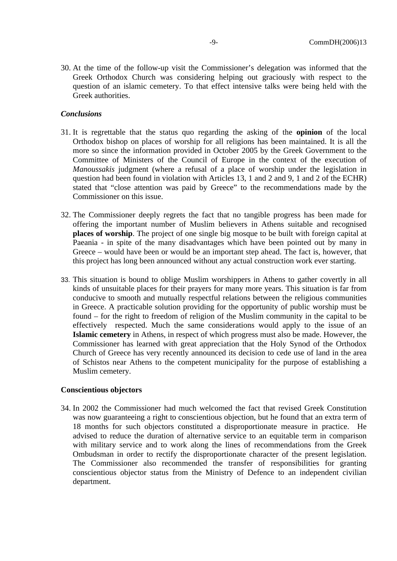30. At the time of the follow-up visit the Commissioner's delegation was informed that the Greek Orthodox Church was considering helping out graciously with respect to the question of an islamic cemetery. To that effect intensive talks were being held with the Greek authorities.

# *Conclusions*

- 31. It is regrettable that the status quo regarding the asking of the **opinion** of the local Orthodox bishop on places of worship for all religions has been maintained. It is all the more so since the information provided in October 2005 by the Greek Government to the Committee of Ministers of the Council of Europe in the context of the execution of *Manoussakis* judgment (where a refusal of a place of worship under the legislation in question had been found in violation with Articles 13, 1 and 2 and 9, 1 and 2 of the ECHR) stated that "close attention was paid by Greece" to the recommendations made by the Commissioner on this issue.
- 32. The Commissioner deeply regrets the fact that no tangible progress has been made for offering the important number of Muslim believers in Athens suitable and recognised **places of worship**. The project of one single big mosque to be built with foreign capital at Paeania - in spite of the many disadvantages which have been pointed out by many in Greece – would have been or would be an important step ahead. The fact is, however, that this project has long been announced without any actual construction work ever starting.
- 33. This situation is bound to oblige Muslim worshippers in Athens to gather covertly in all kinds of unsuitable places for their prayers for many more years. This situation is far from conducive to smooth and mutually respectful relations between the religious communities in Greece. A practicable solution providing for the opportunity of public worship must be found – for the right to freedom of religion of the Muslim community in the capital to be effectively respected. Much the same considerations would apply to the issue of an **Islamic cemetery** in Athens, in respect of which progress must also be made. However, the Commissioner has learned with great appreciation that the Holy Synod of the Orthodox Church of Greece has very recently announced its decision to cede use of land in the area of Schistos near Athens to the competent municipality for the purpose of establishing a Muslim cemetery.

# **Conscientious objectors**

34. In 2002 the Commissioner had much welcomed the fact that revised Greek Constitution was now guaranteeing a right to conscientious objection, but he found that an extra term of 18 months for such objectors constituted a disproportionate measure in practice. He advised to reduce the duration of alternative service to an equitable term in comparison with military service and to work along the lines of recommendations from the Greek Ombudsman in order to rectify the disproportionate character of the present legislation. The Commissioner also recommended the transfer of responsibilities for granting conscientious objector status from the Ministry of Defence to an independent civilian department.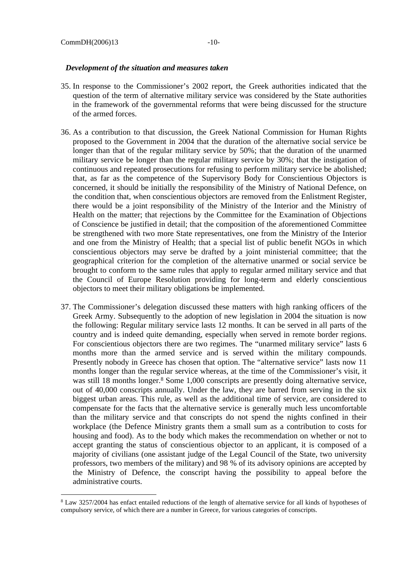- 35. In response to the Commissioner's 2002 report, the Greek authorities indicated that the question of the term of alternative military service was considered by the State authorities in the framework of the governmental reforms that were being discussed for the structure of the armed forces.
- 36. As a contribution to that discussion, the Greek National Commission for Human Rights proposed to the Government in 2004 that the duration of the alternative social service be longer than that of the regular military service by 50%; that the duration of the unarmed military service be longer than the regular military service by 30%; that the instigation of continuous and repeated prosecutions for refusing to perform military service be abolished; that, as far as the competence of the Supervisory Body for Conscientious Objectors is concerned, it should be initially the responsibility of the Ministry of National Defence, on the condition that, when conscientious objectors are removed from the Enlistment Register, there would be a joint responsibility of the Ministry of the Interior and the Ministry of Health on the matter; that rejections by the Committee for the Examination of Objections of Conscience be justified in detail; that the composition of the aforementioned Committee be strengthened with two more State representatives, one from the Ministry of the Interior and one from the Ministry of Health; that a special list of public benefit NGOs in which conscientious objectors may serve be drafted by a joint ministerial committee; that the geographical criterion for the completion of the alternative unarmed or social service be brought to conform to the same rules that apply to regular armed military service and that the Council of Europe Resolution providing for long-term and elderly conscientious objectors to meet their military obligations be implemented.
- 37. The Commissioner's delegation discussed these matters with high ranking officers of the Greek Army. Subsequently to the adoption of new legislation in 2004 the situation is now the following: Regular military service lasts 12 months. It can be served in all parts of the country and is indeed quite demanding, especially when served in remote border regions. For conscientious objectors there are two regimes. The "unarmed military service" lasts 6 months more than the armed service and is served within the military compounds. Presently nobody in Greece has chosen that option. The "alternative service" lasts now 11 months longer than the regular service whereas, at the time of the Commissioner's visit, it was still 18 months longer.<sup>8</sup> Some 1,000 conscripts are presently doing alternative service, out of 40,000 conscripts annually. Under the law, they are barred from serving in the six biggest urban areas. This rule, as well as the additional time of service, are considered to compensate for the facts that the alternative service is generally much less uncomfortable than the military service and that conscripts do not spend the nights confined in their workplace (the Defence Ministry grants them a small sum as a contribution to costs for housing and food). As to the body which makes the recommendation on whether or not to accept granting the status of conscientious objector to an applicant, it is composed of a majority of civilians (one assistant judge of the Legal Council of the State, two university professors, two members of the military) and 98 % of its advisory opinions are accepted by the Ministry of Defence, the conscript having the possibility to appeal before the administrative courts.

<sup>8</sup> Law 3257/2004 has enfact entailed reductions of the length of alternative service for all kinds of hypotheses of compulsory service, of which there are a number in Greece, for various categories of conscripts.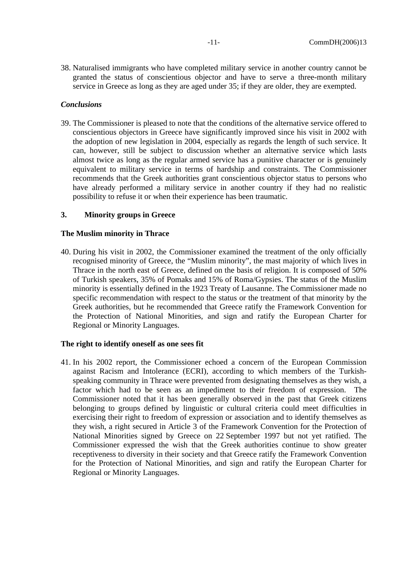38. Naturalised immigrants who have completed military service in another country cannot be granted the status of conscientious objector and have to serve a three-month military service in Greece as long as they are aged under 35; if they are older, they are exempted.

#### *Conclusions*

39. The Commissioner is pleased to note that the conditions of the alternative service offered to conscientious objectors in Greece have significantly improved since his visit in 2002 with the adoption of new legislation in 2004, especially as regards the length of such service. It can, however, still be subject to discussion whether an alternative service which lasts almost twice as long as the regular armed service has a punitive character or is genuinely equivalent to military service in terms of hardship and constraints. The Commissioner recommends that the Greek authorities grant conscientious objector status to persons who have already performed a military service in another country if they had no realistic possibility to refuse it or when their experience has been traumatic.

#### <span id="page-10-0"></span>**3. Minority groups in Greece**

#### **The Muslim minority in Thrace**

40. During his visit in 2002, the Commissioner examined the treatment of the only officially recognised minority of Greece, the "Muslim minority", the mast majority of which lives in Thrace in the north east of Greece, defined on the basis of religion. It is composed of 50% of Turkish speakers, 35% of Pomaks and 15% of Roma/Gypsies. The status of the Muslim minority is essentially defined in the 1923 Treaty of Lausanne. The Commissioner made no specific recommendation with respect to the status or the treatment of that minority by the Greek authorities, but he recommended that Greece ratify the Framework Convention for the Protection of National Minorities, and sign and ratify the European Charter for Regional or Minority Languages.

#### **The right to identify oneself as one sees fit**

41. In his 2002 report, the Commissioner echoed a concern of the European Commission against Racism and Intolerance (ECRI), according to which members of the Turkishspeaking community in Thrace were prevented from designating themselves as they wish, a factor which had to be seen as an impediment to their freedom of expression. The Commissioner noted that it has been generally observed in the past that Greek citizens belonging to groups defined by linguistic or cultural criteria could meet difficulties in exercising their right to freedom of expression or association and to identify themselves as they wish, a right secured in Article 3 of the Framework Convention for the Protection of National Minorities signed by Greece on 22 September 1997 but not yet ratified. The Commissioner expressed the wish that the Greek authorities continue to show greater receptiveness to diversity in their society and that Greece ratify the Framework Convention for the Protection of National Minorities, and sign and ratify the European Charter for Regional or Minority Languages.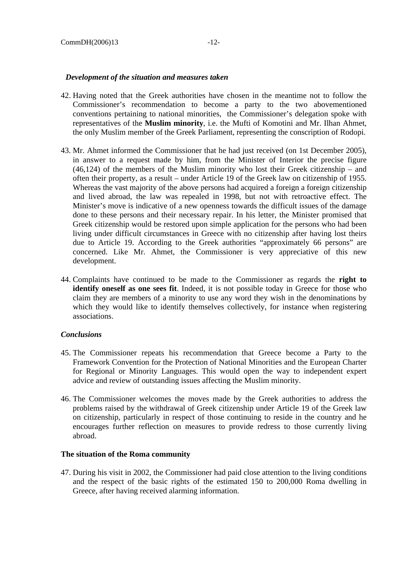- 42. Having noted that the Greek authorities have chosen in the meantime not to follow the Commissioner's recommendation to become a party to the two abovementioned conventions pertaining to national minorities, the Commissioner's delegation spoke with representatives of the **Muslim minority**, i.e. the Mufti of Komotini and Mr. Ilhan Ahmet, the only Muslim member of the Greek Parliament, representing the conscription of Rodopi.
- 43. Mr. Ahmet informed the Commissioner that he had just received (on 1st December 2005), in answer to a request made by him, from the Minister of Interior the precise figure (46,124) of the members of the Muslim minority who lost their Greek citizenship – and often their property, as a result – under Article 19 of the Greek law on citizenship of 1955. Whereas the vast majority of the above persons had acquired a foreign a foreign citizenship and lived abroad, the law was repealed in 1998, but not with retroactive effect. The Minister's move is indicative of a new openness towards the difficult issues of the damage done to these persons and their necessary repair. In his letter, the Minister promised that Greek citizenship would be restored upon simple application for the persons who had been living under difficult circumstances in Greece with no citizenship after having lost theirs due to Article 19. According to the Greek authorities "approximately 66 persons" are concerned. Like Mr. Ahmet, the Commissioner is very appreciative of this new development.
- 44. Complaints have continued to be made to the Commissioner as regards the **right to identify oneself as one sees fit**. Indeed, it is not possible today in Greece for those who claim they are members of a minority to use any word they wish in the denominations by which they would like to identify themselves collectively, for instance when registering associations.

# *Conclusions*

- 45. The Commissioner repeats his recommendation that Greece become a Party to the Framework Convention for the Protection of National Minorities and the European Charter for Regional or Minority Languages. This would open the way to independent expert advice and review of outstanding issues affecting the Muslim minority.
- 46. The Commissioner welcomes the moves made by the Greek authorities to address the problems raised by the withdrawal of Greek citizenship under Article 19 of the Greek law on citizenship, particularly in respect of those continuing to reside in the country and he encourages further reflection on measures to provide redress to those currently living abroad.

#### **The situation of the Roma community**

47. During his visit in 2002, the Commissioner had paid close attention to the living conditions and the respect of the basic rights of the estimated 150 to 200,000 Roma dwelling in Greece, after having received alarming information.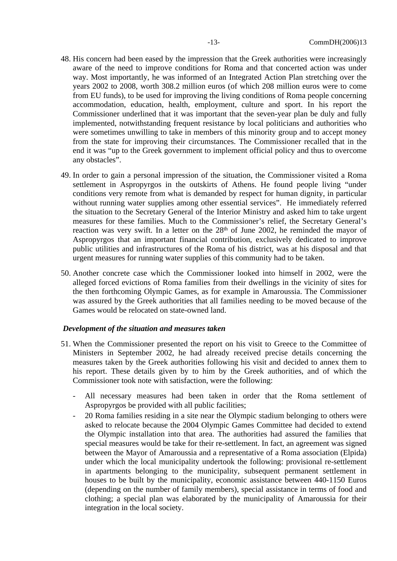- 48. His concern had been eased by the impression that the Greek authorities were increasingly aware of the need to improve conditions for Roma and that concerted action was under way. Most importantly, he was informed of an Integrated Action Plan stretching over the years 2002 to 2008, worth 308.2 million euros (of which 208 million euros were to come from EU funds), to be used for improving the living conditions of Roma people concerning accommodation, education, health, employment, culture and sport. In his report the Commissioner underlined that it was important that the seven-year plan be duly and fully implemented, notwithstanding frequent resistance by local politicians and authorities who were sometimes unwilling to take in members of this minority group and to accept money from the state for improving their circumstances. The Commissioner recalled that in the end it was "up to the Greek government to implement official policy and thus to overcome any obstacles".
- 49. In order to gain a personal impression of the situation, the Commissioner visited a Roma settlement in Aspropyrgos in the outskirts of Athens. He found people living "under conditions very remote from what is demanded by respect for human dignity, in particular without running water supplies among other essential services". He immediately referred the situation to the Secretary General of the Interior Ministry and asked him to take urgent measures for these families. Much to the Commissioner's relief, the Secretary General's reaction was very swift. In a letter on the  $28<sup>th</sup>$  of June 2002, he reminded the mayor of Aspropyrgos that an important financial contribution, exclusively dedicated to improve public utilities and infrastructures of the Roma of his district, was at his disposal and that urgent measures for running water supplies of this community had to be taken.
- 50. Another concrete case which the Commissioner looked into himself in 2002, were the alleged forced evictions of Roma families from their dwellings in the vicinity of sites for the then forthcoming Olympic Games, as for example in Amaroussia. The Commissioner was assured by the Greek authorities that all families needing to be moved because of the Games would be relocated on state-owned land.

- 51. When the Commissioner presented the report on his visit to Greece to the Committee of Ministers in September 2002, he had already received precise details concerning the measures taken by the Greek authorities following his visit and decided to annex them to his report. These details given by to him by the Greek authorities, and of which the Commissioner took note with satisfaction, were the following:
	- All necessary measures had been taken in order that the Roma settlement of Aspropyrgos be provided with all public facilities;
	- 20 Roma families residing in a site near the Olympic stadium belonging to others were asked to relocate because the 2004 Olympic Games Committee had decided to extend the Olympic installation into that area. The authorities had assured the families that special measures would be take for their re-settlement. In fact, an agreement was signed between the Mayor of Amaroussia and a representative of a Roma association (Elpida) under which the local municipality undertook the following: provisional re-settlement in apartments belonging to the municipality, subsequent permanent settlement in houses to be built by the municipality, economic assistance between 440-1150 Euros (depending on the number of family members), special assistance in terms of food and clothing; a special plan was elaborated by the municipality of Amaroussia for their integration in the local society.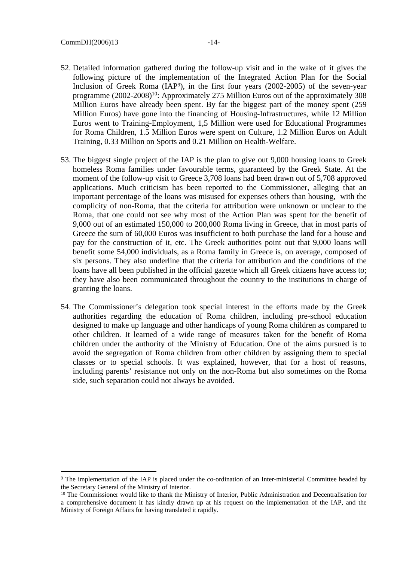- 52. Detailed information gathered during the follow-up visit and in the wake of it gives the following picture of the implementation of the Integrated Action Plan for the Social Inclusion of Greek Roma (IAP<sup>9</sup>), in the first four years (2002-2005) of the seven-year programme (2002-2008)<sup>10</sup>: Approximately 275 Million Euros out of the approximately 308 Million Euros have already been spent. By far the biggest part of the money spent (259 Million Euros) have gone into the financing of Housing-Infrastructures, while 12 Million Euros went to Training-Employment, 1,5 Million were used for Educational Programmes for Roma Children, 1.5 Million Euros were spent on Culture, 1.2 Million Euros on Adult Training, 0.33 Million on Sports and 0.21 Million on Health-Welfare.
- 53. The biggest single project of the IAP is the plan to give out 9,000 housing loans to Greek homeless Roma families under favourable terms, guaranteed by the Greek State. At the moment of the follow-up visit to Greece 3,708 loans had been drawn out of 5,708 approved applications. Much criticism has been reported to the Commissioner, alleging that an important percentage of the loans was misused for expenses others than housing, with the complicity of non-Roma, that the criteria for attribution were unknown or unclear to the Roma, that one could not see why most of the Action Plan was spent for the benefit of 9,000 out of an estimated 150,000 to 200,000 Roma living in Greece, that in most parts of Greece the sum of 60,000 Euros was insufficient to both purchase the land for a house and pay for the construction of it, etc. The Greek authorities point out that 9,000 loans will benefit some 54,000 individuals, as a Roma family in Greece is, on average, composed of six persons. They also underline that the criteria for attribution and the conditions of the loans have all been published in the official gazette which all Greek citizens have access to; they have also been communicated throughout the country to the institutions in charge of granting the loans.
- 54. The Commissioner's delegation took special interest in the efforts made by the Greek authorities regarding the education of Roma children, including pre-school education designed to make up language and other handicaps of young Roma children as compared to other children. It learned of a wide range of measures taken for the benefit of Roma children under the authority of the Ministry of Education. One of the aims pursued is to avoid the segregation of Roma children from other children by assigning them to special classes or to special schools. It was explained, however, that for a host of reasons, including parents' resistance not only on the non-Roma but also sometimes on the Roma side, such separation could not always be avoided.

<sup>&</sup>lt;sup>9</sup> The implementation of the IAP is placed under the co-ordination of an Inter-ministerial Committee headed by the Secretary General of the Ministry of Interior.

<sup>&</sup>lt;sup>10</sup> The Commissioner would like to thank the Ministry of Interior, Public Administration and Decentralisation for a comprehensive document it has kindly drawn up at his request on the implementation of the IAP, and the Ministry of Foreign Affairs for having translated it rapidly.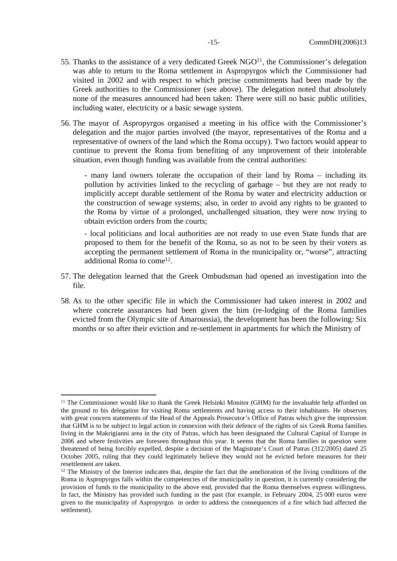- 55. Thanks to the assistance of a very dedicated Greek  $NGO<sup>11</sup>$ , the Commissioner's delegation was able to return to the Roma settlement in Aspropyrgos which the Commissioner had visited in 2002 and with respect to which precise commitments had been made by the Greek authorities to the Commissioner (see above). The delegation noted that absolutely none of the measures announced had been taken: There were still no basic public utilities, including water, electricity or a basic sewage system.
- 56. The mayor of Aspropyrgos organised a meeting in his office with the Commissioner's delegation and the major parties involved (the mayor, representatives of the Roma and a representative of owners of the land which the Roma occupy). Two factors would appear to continue to prevent the Roma from benefiting of any improvement of their intolerable situation, even though funding was available from the central authorities:

- many land owners tolerate the occupation of their land by Roma – including its pollution by activities linked to the recycling of garbage – but they are not ready to implicitly accept durable settlement of the Roma by water and electricity adduction or the construction of sewage systems; also, in order to avoid any rights to be granted to the Roma by virtue of a prolonged, unchallenged situation, they were now trying to obtain eviction orders from the courts;

- local politicians and local authorities are not ready to use even State funds that are proposed to them for the benefit of the Roma, so as not to be seen by their voters as accepting the permanent settlement of Roma in the municipality or, "worse", attracting additional Roma to come<sup>12</sup>.

- 57. The delegation learned that the Greek Ombudsman had opened an investigation into the file.
- 58. As to the other specific file in which the Commissioner had taken interest in 2002 and where concrete assurances had been given the him (re-lodging of the Roma families evicted from the Olympic site of Amaroussia), the development has been the following: Six months or so after their eviction and re-settlement in apartments for which the Ministry of

<sup>&</sup>lt;sup>11</sup> The Commissioner would like to thank the Greek Helsinki Monitor (GHM) for the invaluable help afforded on the ground to his delegation for visiting Roma settlements and having access to their inhabitants. He observes with great concern statements of the Head of the Appeals Prosecutor's Office of Patras which give the impression that GHM is to be subject to legal action in connexion with their defence of the rights of six Greek Roma families living in the Makrigianni area in the city of Patras, which has been designated the Cultural Capital of Europe in 2006 and where festivities are foreseen throughout this year. It seems that the Roma families in question were threatened of being forcibly expelled, despite a decision of the Magistrate's Court of Patras (312/2005) dated 25 October 2005, ruling that they could legitimately believe they would not be evicted before measures for their resettlement are taken.

<sup>&</sup>lt;sup>12</sup> The Ministry of the Interior indicates that, despite the fact that the amelioration of the living conditions of the Roma in Aspropyrgos falls within the competencies of the municipality in question, it is currently considering the provision of funds to the municipality to the above end, provided that the Roma themselves express willingness. In fact, the Ministry has provided such funding in the past (for example, in February 2004, 25 000 euros were given to the municipality of Aspropyrgos in order to address the consequences of a fire which had affected the settlement).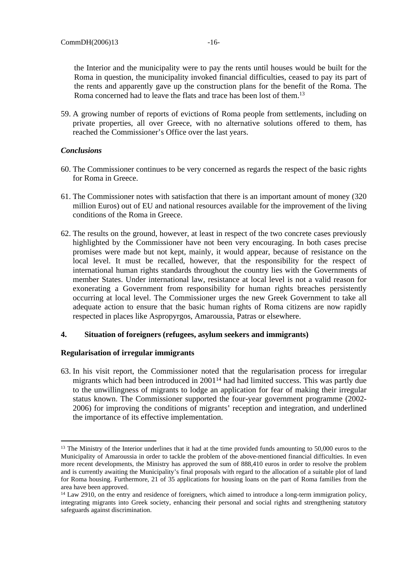the Interior and the municipality were to pay the rents until houses would be built for the Roma in question, the municipality invoked financial difficulties, ceased to pay its part of the rents and apparently gave up the construction plans for the benefit of the Roma. The Roma concerned had to leave the flats and trace has been lost of them.<sup>13</sup>

59. A growing number of reports of evictions of Roma people from settlements, including on private properties, all over Greece, with no alternative solutions offered to them, has reached the Commissioner's Office over the last years.

# *Conclusions*

- 60. The Commissioner continues to be very concerned as regards the respect of the basic rights for Roma in Greece.
- 61. The Commissioner notes with satisfaction that there is an important amount of money (320 million Euros) out of EU and national resources available for the improvement of the living conditions of the Roma in Greece.
- 62. The results on the ground, however, at least in respect of the two concrete cases previously highlighted by the Commissioner have not been very encouraging. In both cases precise promises were made but not kept, mainly, it would appear, because of resistance on the local level. It must be recalled, however, that the responsibility for the respect of international human rights standards throughout the country lies with the Governments of member States. Under international law, resistance at local level is not a valid reason for exonerating a Government from responsibility for human rights breaches persistently occurring at local level. The Commissioner urges the new Greek Government to take all adequate action to ensure that the basic human rights of Roma citizens are now rapidly respected in places like Aspropyrgos, Amaroussia, Patras or elsewhere.

#### <span id="page-15-0"></span>**4. Situation of foreigners (refugees, asylum seekers and immigrants)**

#### **Regularisation of irregular immigrants**

63. In his visit report, the Commissioner noted that the regularisation process for irregular migrants which had been introduced in 2001<sup>14</sup> had had limited success. This was partly due to the unwillingness of migrants to lodge an application for fear of making their irregular status known. The Commissioner supported the four-year government programme (2002- 2006) for improving the conditions of migrants' reception and integration, and underlined the importance of its effective implementation.

<sup>&</sup>lt;sup>13</sup> The Ministry of the Interior underlines that it had at the time provided funds amounting to 50,000 euros to the Municipality of Amaroussia in order to tackle the problem of the above-mentioned financial difficulties. In even more recent developments, the Ministry has approved the sum of 888,410 euros in order to resolve the problem and is currently awaiting the Municipality's final proposals with regard to the allocation of a suitable plot of land for Roma housing. Furthermore, 21 of 35 applications for housing loans on the part of Roma families from the area have been approved.

<sup>&</sup>lt;sup>14</sup> Law 2910, on the entry and residence of foreigners, which aimed to introduce a long-term immigration policy, integrating migrants into Greek society, enhancing their personal and social rights and strengthening statutory safeguards against discrimination.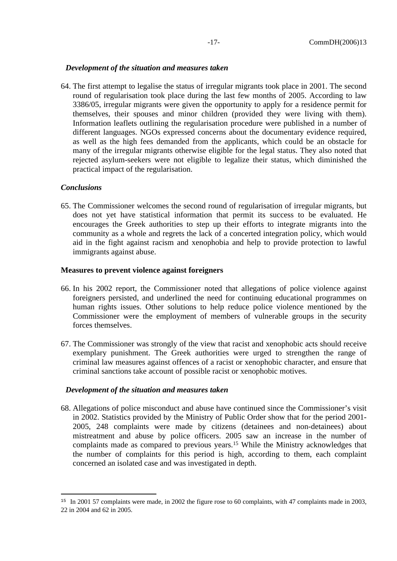64. The first attempt to legalise the status of irregular migrants took place in 2001. The second round of regularisation took place during the last few months of 2005. According to law 3386/05, irregular migrants were given the opportunity to apply for a residence permit for themselves, their spouses and minor children (provided they were living with them). Information leaflets outlining the regularisation procedure were published in a number of different languages. NGOs expressed concerns about the documentary evidence required, as well as the high fees demanded from the applicants, which could be an obstacle for many of the irregular migrants otherwise eligible for the legal status. They also noted that rejected asylum-seekers were not eligible to legalize their status, which diminished the practical impact of the regularisation.

### *Conclusions*

65. The Commissioner welcomes the second round of regularisation of irregular migrants, but does not yet have statistical information that permit its success to be evaluated. He encourages the Greek authorities to step up their efforts to integrate migrants into the community as a whole and regrets the lack of a concerted integration policy, which would aid in the fight against racism and xenophobia and help to provide protection to lawful immigrants against abuse.

# **Measures to prevent violence against foreigners**

- 66. In his 2002 report, the Commissioner noted that allegations of police violence against foreigners persisted, and underlined the need for continuing educational programmes on human rights issues. Other solutions to help reduce police violence mentioned by the Commissioner were the employment of members of vulnerable groups in the security forces themselves.
- 67. The Commissioner was strongly of the view that racist and xenophobic acts should receive exemplary punishment. The Greek authorities were urged to strengthen the range of criminal law measures against offences of a racist or xenophobic character, and ensure that criminal sanctions take account of possible racist or xenophobic motives.

#### *Development of the situation and measures taken*

68. Allegations of police misconduct and abuse have continued since the Commissioner's visit in 2002. Statistics provided by the Ministry of Public Order show that for the period 2001- 2005, 248 complaints were made by citizens (detainees and non-detainees) about mistreatment and abuse by police officers. 2005 saw an increase in the number of complaints made as compared to previous years.<sup>15</sup> While the Ministry acknowledges that the number of complaints for this period is high, according to them, each complaint concerned an isolated case and was investigated in depth.

<sup>&</sup>lt;sup>15</sup> In 2001 57 complaints were made, in 2002 the figure rose to 60 complaints, with 47 complaints made in 2003, 22 in 2004 and 62 in 2005.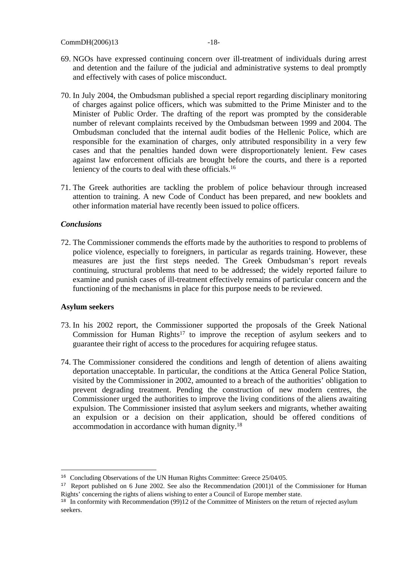- 69. NGOs have expressed continuing concern over ill-treatment of individuals during arrest and detention and the failure of the judicial and administrative systems to deal promptly and effectively with cases of police misconduct.
- 70. In July 2004, the Ombudsman published a special report regarding disciplinary monitoring of charges against police officers, which was submitted to the Prime Minister and to the Minister of Public Order. The drafting of the report was prompted by the considerable number of relevant complaints received by the Ombudsman between 1999 and 2004. The Ombudsman concluded that the internal audit bodies of the Hellenic Police, which are responsible for the examination of charges, only attributed responsibility in a very few cases and that the penalties handed down were disproportionately lenient. Few cases against law enforcement officials are brought before the courts, and there is a reported leniency of the courts to deal with these officials.<sup>16</sup>
- 71. The Greek authorities are tackling the problem of police behaviour through increased attention to training. A new Code of Conduct has been prepared, and new booklets and other information material have recently been issued to police officers.

# *Conclusions*

72. The Commissioner commends the efforts made by the authorities to respond to problems of police violence, especially to foreigners, in particular as regards training. However, these measures are just the first steps needed. The Greek Ombudsman's report reveals continuing, structural problems that need to be addressed; the widely reported failure to examine and punish cases of ill-treatment effectively remains of particular concern and the functioning of the mechanisms in place for this purpose needs to be reviewed.

# **Asylum seekers**

- 73. In his 2002 report, the Commissioner supported the proposals of the Greek National Commission for Human Rights<sup>17</sup> to improve the reception of asylum seekers and to guarantee their right of access to the procedures for acquiring refugee status.
- 74. The Commissioner considered the conditions and length of detention of aliens awaiting deportation unacceptable. In particular, the conditions at the Attica General Police Station, visited by the Commissioner in 2002, amounted to a breach of the authorities' obligation to prevent degrading treatment. Pending the construction of new modern centres, the Commissioner urged the authorities to improve the living conditions of the aliens awaiting expulsion. The Commissioner insisted that asylum seekers and migrants, whether awaiting an expulsion or a decision on their application, should be offered conditions of accommodation in accordance with human dignity.<sup>18</sup>

<sup>&</sup>lt;sup>16</sup> Concluding Observations of the UN Human Rights Committee: Greece 25/04/05.

<sup>&</sup>lt;sup>17</sup> Report published on 6 June 2002. See also the Recommendation (2001)1 of the Commissioner for Human Rights' concerning the rights of aliens wishing to enter a Council of Europe member state.

<sup>&</sup>lt;sup>18</sup> In conformity with Recommendation (99)12 of the Committee of Ministers on the return of rejected asylum seekers.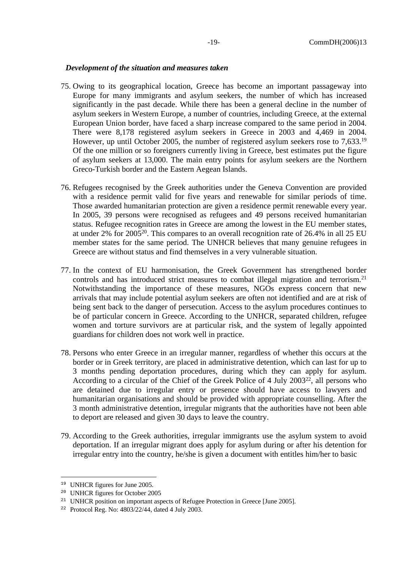- 75. Owing to its geographical location, Greece has become an important passageway into Europe for many immigrants and asylum seekers, the number of which has increased significantly in the past decade. While there has been a general decline in the number of asylum seekers in Western Europe, a number of countries, including Greece, at the external European Union border, have faced a sharp increase compared to the same period in 2004. There were 8,178 registered asylum seekers in Greece in 2003 and 4,469 in 2004. However, up until October 2005, the number of registered asylum seekers rose to 7,633.<sup>19</sup> Of the one million or so foreigners currently living in Greece, best estimates put the figure of asylum seekers at 13,000. The main entry points for asylum seekers are the Northern Greco-Turkish border and the Eastern Aegean Islands.
- 76. Refugees recognised by the Greek authorities under the Geneva Convention are provided with a residence permit valid for five years and renewable for similar periods of time. Those awarded humanitarian protection are given a residence permit renewable every year. In 2005, 39 persons were recognised as refugees and 49 persons received humanitarian status. Refugee recognition rates in Greece are among the lowest in the EU member states, at under 2% for 2005<sup>20</sup>. This compares to an overall recognition rate of 26.4% in all 25 EU member states for the same period. The UNHCR believes that many genuine refugees in Greece are without status and find themselves in a very vulnerable situation.
- 77. In the context of EU harmonisation, the Greek Government has strengthened border controls and has introduced strict measures to combat illegal migration and terrorism.<sup>21</sup> Notwithstanding the importance of these measures, NGOs express concern that new arrivals that may include potential asylum seekers are often not identified and are at risk of being sent back to the danger of persecution. Access to the asylum procedures continues to be of particular concern in Greece. According to the UNHCR, separated children, refugee women and torture survivors are at particular risk, and the system of legally appointed guardians for children does not work well in practice.
- 78. Persons who enter Greece in an irregular manner, regardless of whether this occurs at the border or in Greek territory, are placed in administrative detention, which can last for up to 3 months pending deportation procedures, during which they can apply for asylum. According to a circular of the Chief of the Greek Police of 4 July 2003<sup>22</sup>, all persons who are detained due to irregular entry or presence should have access to lawyers and humanitarian organisations and should be provided with appropriate counselling. After the 3 month administrative detention, irregular migrants that the authorities have not been able to deport are released and given 30 days to leave the country.
- 79. According to the Greek authorities, irregular immigrants use the asylum system to avoid deportation. If an irregular migrant does apply for asylum during or after his detention for irregular entry into the country, he/she is given a document with entitles him/her to basic

<sup>19</sup> UNHCR figures for June 2005.

<sup>20</sup> UNHCR figures for October 2005

<sup>&</sup>lt;sup>21</sup> UNHCR position on important aspects of Refugee Protection in Greece [June 2005].

<sup>22</sup> Protocol Reg. No: 4803/22/44, dated 4 July 2003.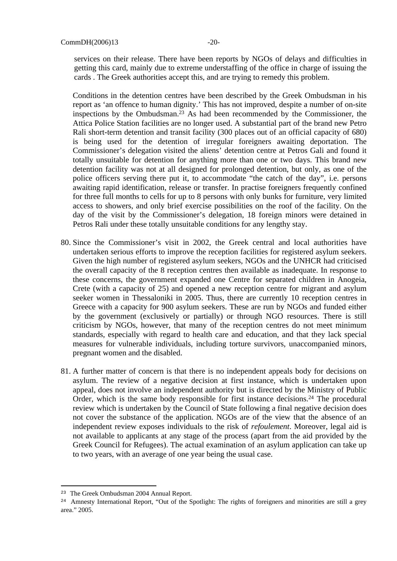services on their release. There have been reports by NGOs of delays and difficulties in getting this card, mainly due to extreme understaffing of the office in charge of issuing the cards . The Greek authorities accept this, and are trying to remedy this problem.

Conditions in the detention centres have been described by the Greek Ombudsman in his report as 'an offence to human dignity.' This has not improved, despite a number of on-site inspections by the Ombudsman.<sup>23</sup> As had been recommended by the Commissioner, the Attica Police Station facilities are no longer used. A substantial part of the brand new Petro Rali short-term detention and transit facility (300 places out of an official capacity of 680) is being used for the detention of irregular foreigners awaiting deportation. The Commissioner's delegation visited the aliens' detention centre at Petros Gali and found it totally unsuitable for detention for anything more than one or two days. This brand new detention facility was not at all designed for prolonged detention, but only, as one of the police officers serving there put it, to accommodate "the catch of the day", i.e. persons awaiting rapid identification, release or transfer. In practise foreigners frequently confined for three full months to cells for up to 8 persons with only bunks for furniture, very limited access to showers, and only brief exercise possibilities on the roof of the facility. On the day of the visit by the Commissioner's delegation, 18 foreign minors were detained in Petros Rali under these totally unsuitable conditions for any lengthy stay.

- 80. Since the Commissioner's visit in 2002, the Greek central and local authorities have undertaken serious efforts to improve the reception facilities for registered asylum seekers. Given the high number of registered asylum seekers, NGOs and the UNHCR had criticised the overall capacity of the 8 reception centres then available as inadequate. In response to these concerns, the government expanded one Centre for separated children in Anogeia, Crete (with a capacity of 25) and opened a new reception centre for migrant and asylum seeker women in Thessaloniki in 2005. Thus, there are currently 10 reception centres in Greece with a capacity for 900 asylum seekers. These are run by NGOs and funded either by the government (exclusively or partially) or through NGO resources. There is still criticism by NGOs, however, that many of the reception centres do not meet minimum standards, especially with regard to health care and education, and that they lack special measures for vulnerable individuals, including torture survivors, unaccompanied minors, pregnant women and the disabled.
- 81. A further matter of concern is that there is no independent appeals body for decisions on asylum. The review of a negative decision at first instance, which is undertaken upon appeal, does not involve an independent authority but is directed by the Ministry of Public Order, which is the same body responsible for first instance decisions.<sup>24</sup> The procedural review which is undertaken by the Council of State following a final negative decision does not cover the substance of the application. NGOs are of the view that the absence of an independent review exposes individuals to the risk of *refoulement*. Moreover, legal aid is not available to applicants at any stage of the process (apart from the aid provided by the Greek Council for Refugees). The actual examination of an asylum application can take up to two years, with an average of one year being the usual case.

<sup>23</sup> The Greek Ombudsman 2004 Annual Report.

<sup>&</sup>lt;sup>24</sup> Amnesty International Report, "Out of the Spotlight: The rights of foreigners and minorities are still a grey area." 2005.